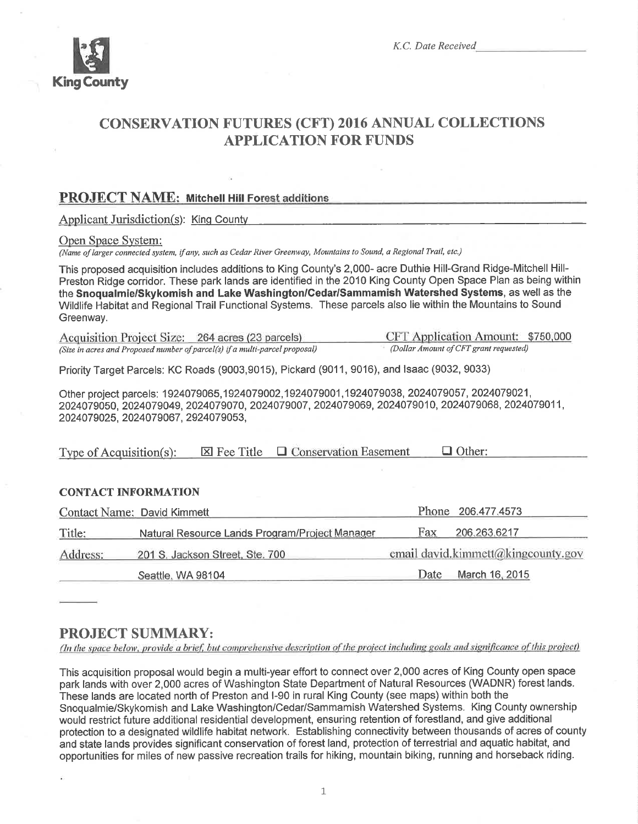

# **CONSERVATION FUTURES (CFT) 2016 ANNUAL COLLECTIONS APPLICATION FOR FUNDS**

## **PROJECT NAME: Mitchell Hill Forest additions**

**Applicant Jurisdiction(s): King County** 

### Open Space System:

(Name of larger connected system, if any, such as Cedar River Greenway, Mountains to Sound, a Regional Trail, etc.)

This proposed acquisition includes additions to King County's 2,000- acre Duthie Hill-Grand Ridge-Mitchell Hill-Preston Ridge corridor. These park lands are identified in the 2010 King County Open Space Plan as being within the Snoqualmie/Skykomish and Lake Washington/Cedar/Sammamish Watershed Systems, as well as the Wildlife Habitat and Regional Trail Functional Systems. These parcels also lie within the Mountains to Sound Greenway.

CFT Application Amount: \$750,000 Acquisition Project Size: 264 acres (23 parcels) (Dollar Amount of CFT grant requested) (Size in acres and Proposed number of parcel(s) if a multi-parcel proposal)

Priority Target Parcels: KC Roads (9003,9015), Pickard (9011, 9016), and Isaac (9032, 9033)

Other project parcels: 1924079065,1924079002,1924079001,1924079038, 2024079057, 2024079021, 2024079050, 2024079049, 2024079070, 2024079007, 2024079069, 2024079010, 2024079068, 2024079011, 2024079025, 2024079067, 2924079053,

Type of Acquisition(s):  $\boxtimes$  Fee Title  $\Box$  Conservation Easement  $\Box$  Other:

### **CONTACT INFORMATION**

|          | <b>Contact Name: David Kimmett</b>             |                                    | Phone 206.477.4573 |
|----------|------------------------------------------------|------------------------------------|--------------------|
| Title:   | Natural Resource Lands Program/Project Manager | Fax                                | 206.263.6217       |
| Address: | 201 S. Jackson Street, Ste. 700                | email david.kimmett@kingcounty.gov |                    |
|          | Seattle, WA 98104                              | Date                               | March 16, 2015     |

## **PROJECT SUMMARY:**

(In the space below, provide a brief, but comprehensive description of the project including goals and significance of this project)

This acquisition proposal would begin a multi-year effort to connect over 2,000 acres of King County open space park lands with over 2,000 acres of Washington State Department of Natural Resources (WADNR) forest lands. These lands are located north of Preston and I-90 in rural King County (see maps) within both the Snogualmie/Skykomish and Lake Washington/Cedar/Sammamish Watershed Systems. King County ownership would restrict future additional residential development, ensuring retention of forestland, and give additional protection to a designated wildlife habitat network. Establishing connectivity between thousands of acres of county and state lands provides significant conservation of forest land, protection of terrestrial and aquatic habitat, and opportunities for miles of new passive recreation trails for hiking, mountain biking, running and horseback riding.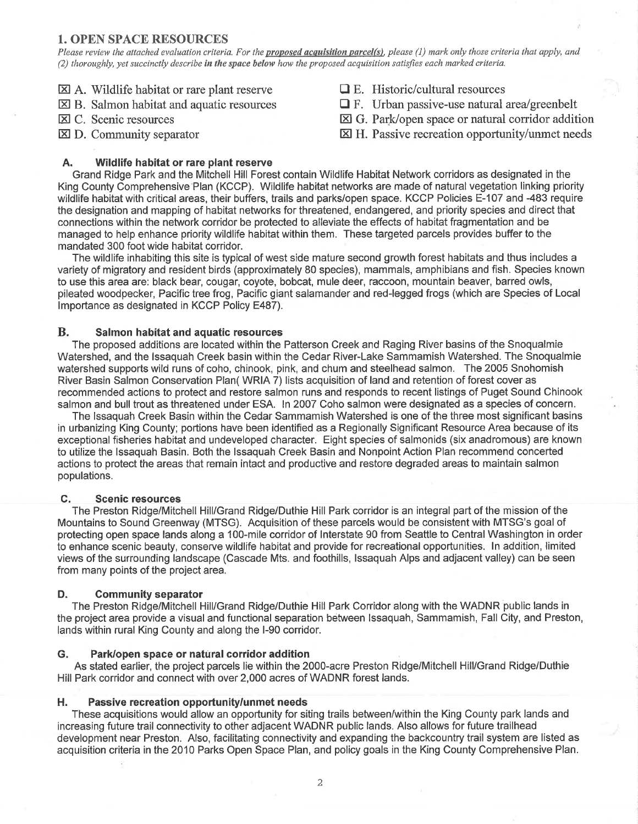### 1. OPEN SPACE RESOURCES

Please review the attached evaluation criteria. For the **proposed acquisition parcel(s)**, please (1) mark only those criteria that apply, and (2) thoroughly, yet succinctly describe in the space below how the proposed acquisition satisfies each marked criteria.

- $\boxtimes$  A. Wildlife habitat or rare plant reserve
- $\boxtimes$  B. Salmon habitat and aquatic resources
- E C. Scenic resources
- $\boxtimes$  D. Community separator
- $\Box$  E. Historic/cultural resources
- $\Box$  F. Urban passive-use natural area/greenbelt
- El G. Park/open space or natural corridor addition
- I H. Passive recreation opportunity/unmet needs

# A. Wildlife habitat or rare plant reserve

Grand Ridge Park and the Mitchell Hill Forest contain Wildlife Habitat Network corridors as designated in the King County Comprehensive Plan (KCCP). Wildlife habitat networks are made of natural vegetation linking priority wildlife habitat with critical areas, their buffers, trails and parks/open space. KCCP Policies E-107 and -483 require the designation and mapping of habitat networks for threatened, endangered, and priority species and direct that connections within the network corridor be protected to alleviate the etfects of habitat fragmentation and be managed to help enhance priority wildlife habitat within them. These targeted parcels provides buffer to the mandated 300 foot wide habitat corridor.

The wildlife inhabiting this site is typical of west side mature second growth forest habitats and thus includes a variety of migratory and resident birds (approximately 80 species), mammals, amphibians and fish. Species known to use this area are: black bear, cougar, coyote, bobcat, mule deer, raccoon, mountain beaver, barred owls, pileated woodpecker, Pacific tree frog, Pacific giant salamander and red-legged frogs (which are Species of Local lmportance as designated in KCCP Policy E487).

### B. Salmon habitat and aquatic resources

The proposed additions are located within the Patterson Creek and Raging River basins of the Snoqualmie Watershed, and the lssaquah Creek basin within the Cedar River-Lake Sammamish Watershed. The Snoqualmie watershed supports wild runs of coho, chinook, pink, and chum and steelhead salmon. The 2005 Snohomish River Basin Salmon Conservation Plan( WRIA 7) lists acquisition of land and retention of forest cover as recommended actions to protect and restore salmon runs and responds to recent listings of Puget Sound Chinook salmon and bull trout as threatened under ESA. ln 20OT Coho salmon were designated as a species of concern.

The lssaquah Creek Basin within the Cedar Sammamish Watershed is one of the three most significant basins in urbanizing King County; portions have been identified as a Regionally Significant Resource Area because of its exceptional fisheries habitat and undeveloped character. Eight species of Salmonids (six anadromous) are known to utilize the Issaquah Basin. Both the Issaquah Creek Basin and Nonpoint Action Plan recommend concerted actions to protect the areas that remain intact and productive and restore degraded areas to maintain salmon populations.

### C. Scenic resources

The Preston Ridge/Mitchell Hill/Grand Ridge/Duthie Hill Park corridor is an integral part of the mission of the Mountains to Sound Greenway (MTSG). Acquisition of these parcels would be consistent with MTSG's goal of protecting open space lands along a 10O-mile corridor of lnterstate 90 from Seattle to Central Washington in order to enhance scenic beauty, conserve wildlife habitat and provide for recreational opportunities. ln addition, limited views of the surrounding landscape (Cascade Mts. and foothills, lssaquah Alps and adjacent valley) can be seen from many points of the project area.

### D. Community separator

The Preston Ridge/Mitchell Hill/Grand Ridge/Duthie Hill Park Corridor along with the WADNR public lands in the project area provide a visual and functional separation between lssaquah, Sammamish, Fall City, and Preston, lands within rural King County and along the l-90 corridor.

### G. Park/open space or natural corridor addition

As stated earlier, the project parcels lie within the 2000-acre Preston Ridge/Mitchell Hill/Grand Ridge/Duthie Hill Park corridor and connect with over 2,000 acres of WADNR forest lands.

### H. Passive recreation opportunity/unmet needs

These acquisitions would allow an opportunity for siting trails between/within the King County park lands and increasing future trail connectivity to other adjacent WADNR public lands. Also allows for future trailhead development near Preston. Also, facilitating connectivity and expanding the backcountry trail system are listed as acquisition criteria in the 2010 Parks Open Space Plan, and policy goals in the King County Comprehensive Plan.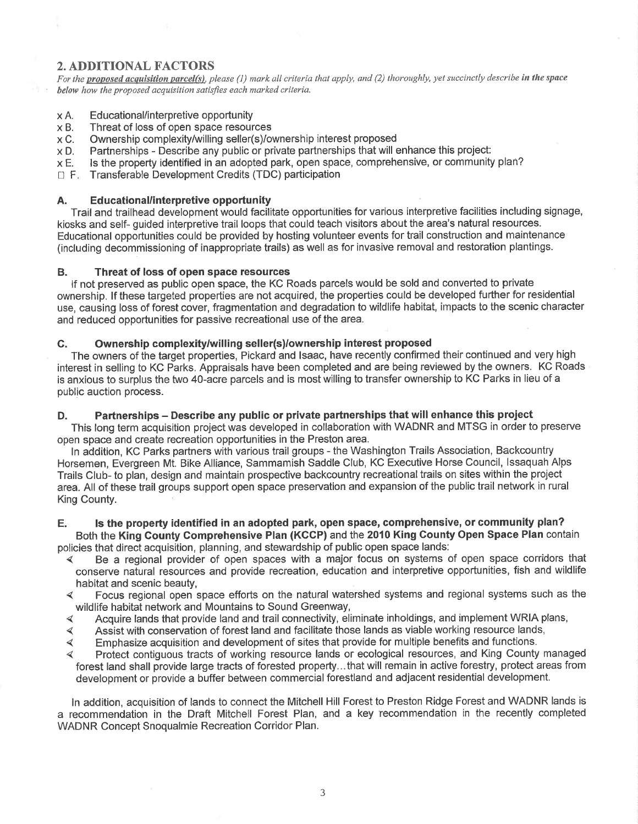## 2. ADDITIONAL FACTORS

For the proposed acquisition parcel(s), please (1) mark all criteria that apply, and (2) thoroughly, yet succinctly describe in the space below how the proposed acquisítion satisfies each marked criteria.

#### XA. Educational/interpretive opportunity

- XB. Threat of loss of open space resources
- xc. Ownership complexity/willing seller(s)/ownership interest proposed
- XD. Partnerships - Describe any public or private partnerships that will enhance this project:
- XE. Is the property identified in an adopted park, open space, comprehensive, or community plan?
- $\Box$  F. Transferable Development Credits (TDC) participation

### A. Educational/interpretive opportunity

Trail and trailhead development would facilitate opportunities for various interpretive facilities including signage, kiosks and self- guided interpretive trail loops that could teach visitors about the area's natural resources. Educational opportunities could be provided by hosting volunteer events for trail construction and maintenance (including decommissioning of inappropriate trails) as well as for invasive removal and restoration plantings.

### B. Threat of loss of open space resources

lf not preserved as public open space, the KC Roads parcels would be sold and converted to private ownership. lf these targeted properties are not acquired, the properties could be developed further for residential use, causing loss of forest cover, fragmentation and degradation to wildlife habitat, impacts to the scenic character and reduced opportunities for passive recreational use of the area.

### C. Ownership complexity/willing seller(s)/ownership interest proposed

The owners of the target properties, Pickard and lsaac, have recently confirmed their continued and very high interest in selling to KC Parks. Appraisals have been completed and are being reviewed by the owners. KC Roads is anxious to surplus the two 4O-acre parcels and is most willing to transfer ownership to KC Parks in lieu of a public auction process.

### D. Partnerships - Describe any public or private partnerships that will enhance this project

This long term acquisition project was developed in collaboration with WADNR and MTSG in order to preserve open space and create recreation opportunities in the Preston area.

ln addition, KC Parks partners with various trail groups - the Washington Trails Association, Backcountry Horsemen, Evergreen Mt. Bike Alliance, Sammamish Saddle Club, KC Executive Horse Council, lssaquah Alps Trails Club- to plan, design and maintain prospective backcountry recreationaltrails on sites within the project area. All of these trail groups support open space preservation and expansion of the public trail network in rural King County.

# E. ls the property identified in an adopted park, open space, comprehensive, or community plan? Both the King Gounty Gomprehensive Plan (KGCP) and the 2010 King County Open Space Plan contain

- policies that direct acquisition, planning, and stewardship of public open space lands:<br>
4 Be a regional provider of open spaces with a major focus on systems of open space corridors that conserve natural resources and provide recreation, education and interpretive opportunities, fish and wildlife
	- habitat and scenic beauty,<br>Focus regional open space efforts on the natural watershed systems and regional systems such as the ∢
	- wildlife habitat network and Mountains to Sound Greenway,<br>Acquire lands that provide land and trail connectivity, eliminate inholdings, and implement WRIA plans, ∢
	- Assist with conservation of forest land and facilitate those lands as viable working resource lands,  $\blacktriangleleft$
	- Emphasize acquisition and development of sites that provide for multiple benefits and functions.  $\blacktriangleleft$
	- Protect contiguous tracts of working resource lands or ecological resources, and King County managed forest land shall provide large tracts of forested property... that will remain in active forestry, protect areas from development or provide a buffer between commercial forestland and adjacent residential development.

ln addition, acquisition of lands to connect the Mitchell Hill Forest to Preston Ridge Forest and WADNR lands is a recommendation in the Draft Mitchell Forest Plan, and a key 'recommendation in the recently completed WADNR Concept Snoqualmie Recreation Corridor Plan.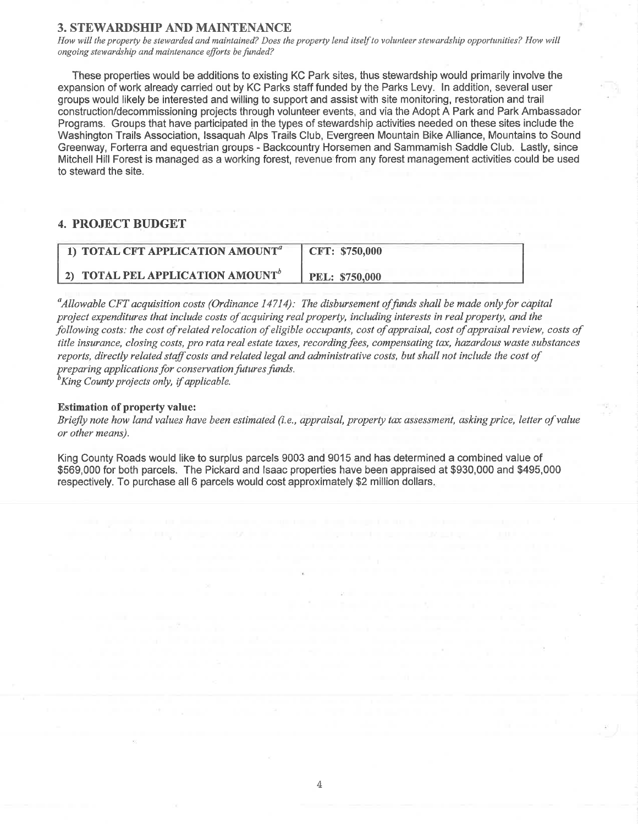### **3. STEWARDSHIP AND MAINTENANCE**

How will the property be stewarded and maintained? Does the property lend itself to volunteer stewardship opportunities? How will ongoing stewardship and maintenance efforts be funded?

These properties would be additions to existing KC Park sites, thus stewardship would primarily involve the expansion of work already carried out by KG Parks staff funded by the Parks Levy. ln addition, several user groups would likely be interested and willing to support and assist with site monitoring, restoration and trail construction/decommissioning projects through volunteer events, and via the Adopt A Park and Park Ambassador Programs. Groups that have participated in the types of stewardship activities needed on these sítes include the Washington Trails Association, lssaquah Alps Trails Club, Evergreen Mountain Bike Alliance, Mountains to Sound Greenway, Forterra and equestrian groups - Backcountry Horsemen and Sammamish Saddle Club. Lastly, since Mitchell Hill Forest is managed as a working forest, revenue from any forest management activities could be used to steward the site.

### 4. PROJECT BUDGET

| 1) TOTAL CFT APPLICATION AMOUNT <sup>a</sup> | CFT: \$750,000        |
|----------------------------------------------|-----------------------|
| 2) TOTAL PEL APPLICATION AMOUNT <sup>o</sup> | <b>PEL: \$750,000</b> |

 $^a$ Allowable CFT acquisition costs (Ordinance 14714): The disbursement of funds shall be made only for capital project expenditures that include costs of acquiring real property, including interests in real property, and the þllowing costs: the cost of related relocation of eligible occupants, cost of appraisal, cost of appraisal review, costs of title insurance, closing costs, pro rata real estate taxes, recording fees, compensating tax, hazardous waste substances reports, directly related staff costs and related legal and administrative costs, but shall not include the cost of preparing applications for conservation futures funds.<br><sup>b</sup>King County projects only, if applicable.

### Estimation of property value:

Briefly note how land values have been estimated (i.e., appraisal, property tax assessment, asking price, letter of value or other means).

King County Roads would like to surplus parcels 9003 and 9015 and has determined a combined value of \$569,000 for both parcels. The Pickard and lsaac properties have been appraised at \$930,000 and \$495,000 respectively. To purchase all 6 parcels would cost approximately \$2 million dollars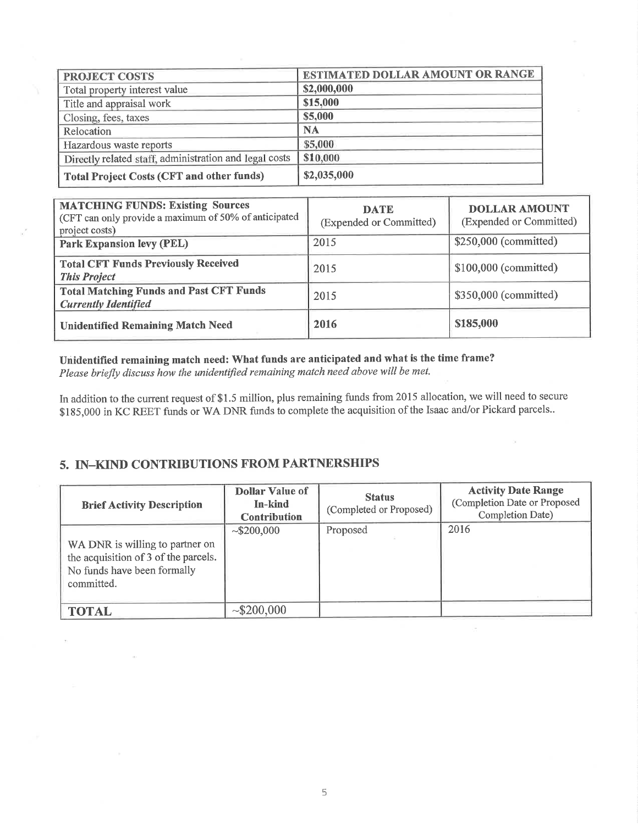| PROJECT COSTS                                          | <b>ESTIMATED DOLLAR AMOUNT OR RANGE</b> |  |  |
|--------------------------------------------------------|-----------------------------------------|--|--|
| Total property interest value                          | \$2,000,000                             |  |  |
| Title and appraisal work                               | \$15,000                                |  |  |
| Closing, fees, taxes                                   | \$5,000                                 |  |  |
| Relocation                                             | <b>NA</b>                               |  |  |
| Hazardous waste reports                                | \$5,000                                 |  |  |
| Directly related staff, administration and legal costs | \$10,000                                |  |  |
| <b>Total Project Costs (CFT and other funds)</b>       | \$2,035,000                             |  |  |

| <b>MATCHING FUNDS: Existing Sources</b><br>(CFT can only provide a maximum of 50% of anticipated<br>project costs) | <b>DATE</b><br>(Expended or Committed) | <b>DOLLAR AMOUNT</b><br>(Expended or Committed) |
|--------------------------------------------------------------------------------------------------------------------|----------------------------------------|-------------------------------------------------|
| <b>Park Expansion levy (PEL)</b>                                                                                   | 2015                                   | \$250,000 (committed)                           |
| <b>Total CFT Funds Previously Received</b><br><b>This Project</b>                                                  | 2015                                   | \$100,000 (committed)                           |
| <b>Total Matching Funds and Past CFT Funds</b><br><b>Currently Identified</b>                                      | 2015                                   | \$350,000 (committed)                           |
| <b>Unidentified Remaining Match Need</b>                                                                           | 2016                                   | \$185,000                                       |

# Uñidentified remaining match need: What funds are anticipated and what is the time frame?

Please briefly discuss how the unidentified remaining match need above will be met.

In addition to the current request of \$1.5 million, plus remaining funds from 2015 allocation, we will need to secure \$185,000 in KC REET funds or WA DNR funds to complete the acquisition of the Isaac and/or Pickard parcels..

# 5. IN\_KIND CONTRIBUTIONS FROM PARTNERSHIPS

| <b>Brief Activity Description</b>                                                                                    | <b>Dollar Value of</b><br>In-kind<br><b>Contribution</b> | <b>Status</b><br>(Completed or Proposed) | <b>Activity Date Range</b><br>(Completion Date or Proposed<br>Completion Date) |
|----------------------------------------------------------------------------------------------------------------------|----------------------------------------------------------|------------------------------------------|--------------------------------------------------------------------------------|
| WA DNR is willing to partner on<br>the acquisition of 3 of the parcels.<br>No funds have been formally<br>committed. | ~100,000                                                 | Proposed                                 | 2016                                                                           |
| <b>TOTAL</b>                                                                                                         | ~100,000                                                 |                                          |                                                                                |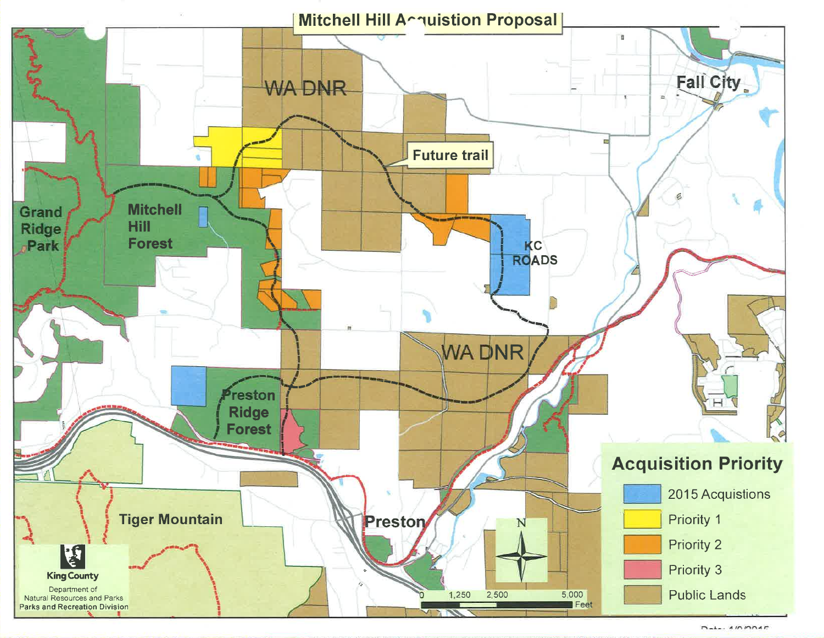

 $D_{n+1}$   $\wedge$   $D_{n+1}$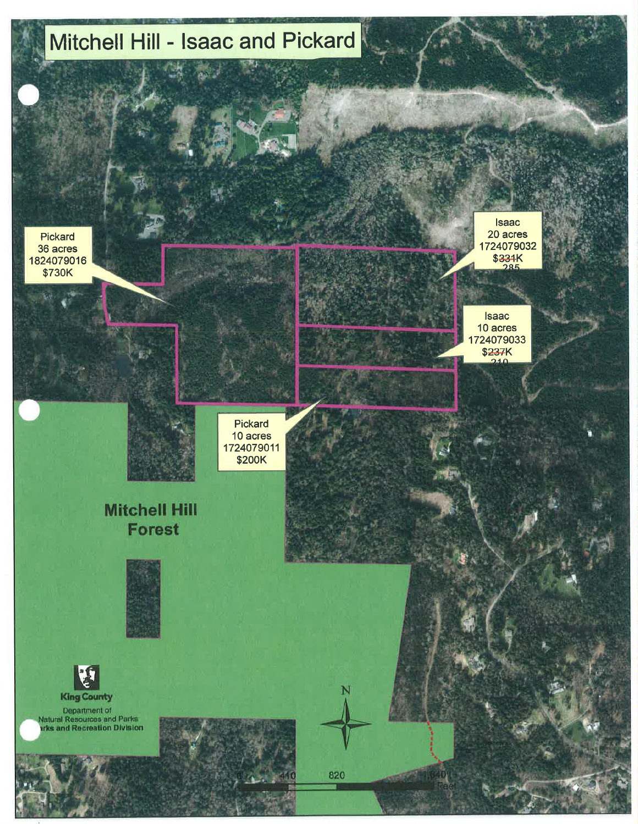